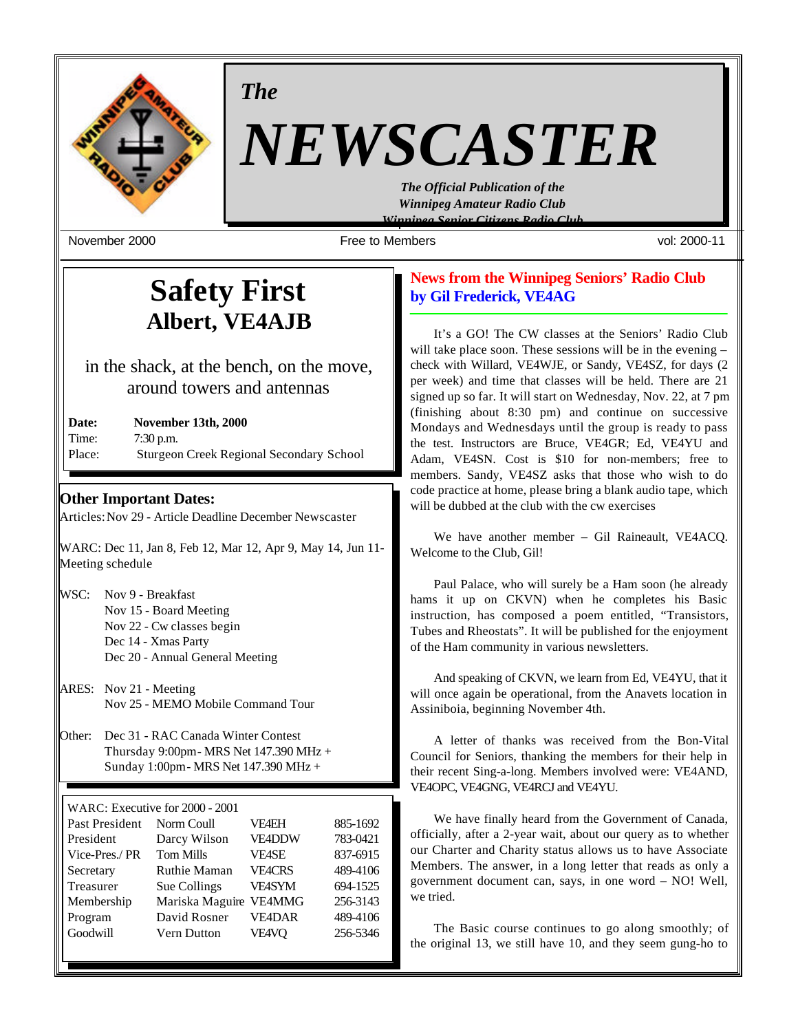

*The*

# *NEWSCASTER*

*The Official Publication of the Winnipeg Amateur Radio Club Winnipeg Senior Citizens Radio Club*

November 2000 Free to Members vol: 2000-11

# **Safety First Albert, VE4AJB**

in the shack, at the bench, on the move, around towers and antennas

| Date:  | <b>November 13th, 2000</b>                      |
|--------|-------------------------------------------------|
| Time:  | $7:30$ p.m.                                     |
| Place: | <b>Sturgeon Creek Regional Secondary School</b> |

## **Other Important Dates:**

Articles: Nov 29 - Article Deadline December Newscaster

WARC: Dec 11, Jan 8, Feb 12, Mar 12, Apr 9, May 14, Jun 11- Meeting schedule

| WSC: | Nov 9 - Breakfast               |
|------|---------------------------------|
|      | Nov 15 - Board Meeting          |
|      | Nov 22 - Cw classes begin       |
|      | Dec 14 - Xmas Party             |
|      | Dec 20 - Annual General Meeting |

- ARES: Nov 21 Meeting Nov 25 - MEMO Mobile Command Tour
- Other: Dec 31 RAC Canada Winter Contest Thursday 9:00pm - MRS Net 147.390 MHz + Sunday 1:00pm - MRS Net 147.390 MHz +

| WARC: Executive for 2000 - 2001 |                        |               |          |
|---------------------------------|------------------------|---------------|----------|
| Past President                  | Norm Coull             | <b>VF4EH</b>  | 885-1692 |
| President                       | Darcy Wilson           | <b>VE4DDW</b> | 783-0421 |
| Vice-Pres./PR                   | <b>Tom Mills</b>       | <b>VF4SE</b>  | 837-6915 |
| Secretary                       | <b>Ruthie Maman</b>    | <b>VE4CRS</b> | 489-4106 |
| Treasurer                       | Sue Collings           | <b>VE4SYM</b> | 694-1525 |
| Membership                      | Mariska Maguire VE4MMG |               | 256-3143 |
| Program                         | David Rosner           | <b>VE4DAR</b> | 489-4106 |
| Goodwill                        | Vern Dutton            | VE4VQ         | 256-5346 |
|                                 |                        |               |          |

# **News from the Winnipeg Seniors' Radio Club by Gil Frederick, VE4AG**

It's a GO! The CW classes at the Seniors' Radio Club will take place soon. These sessions will be in the evening – check with Willard, VE4WJE, or Sandy, VE4SZ, for days (2 per week) and time that classes will be held. There are 21 signed up so far. It will start on Wednesday, Nov. 22, at 7 pm (finishing about 8:30 pm) and continue on successive Mondays and Wednesdays until the group is ready to pass the test. Instructors are Bruce, VE4GR; Ed, VE4YU and Adam, VE4SN. Cost is \$10 for non-members; free to members. Sandy, VE4SZ asks that those who wish to do code practice at home, please bring a blank audio tape, which will be dubbed at the club with the cw exercises

We have another member – Gil Raineault, VE4ACQ. Welcome to the Club, Gil!

Paul Palace, who will surely be a Ham soon (he already hams it up on CKVN) when he completes his Basic instruction, has composed a poem entitled, "Transistors, Tubes and Rheostats". It will be published for the enjoyment of the Ham community in various newsletters.

And speaking of CKVN, we learn from Ed, VE4YU, that it will once again be operational, from the Anavets location in Assiniboia, beginning November 4th.

A letter of thanks was received from the Bon-Vital Council for Seniors, thanking the members for their help in their recent Sing-a-long. Members involved were: VE4AND, VE4OPC, VE4GNG, VE4RCJ and VE4YU.

We have finally heard from the Government of Canada, officially, after a 2-year wait, about our query as to whether our Charter and Charity status allows us to have Associate Members. The answer, in a long letter that reads as only a government document can, says, in one word – NO! Well, we tried.

The Basic course continues to go along smoothly; of the original 13, we still have 10, and they seem gung-ho to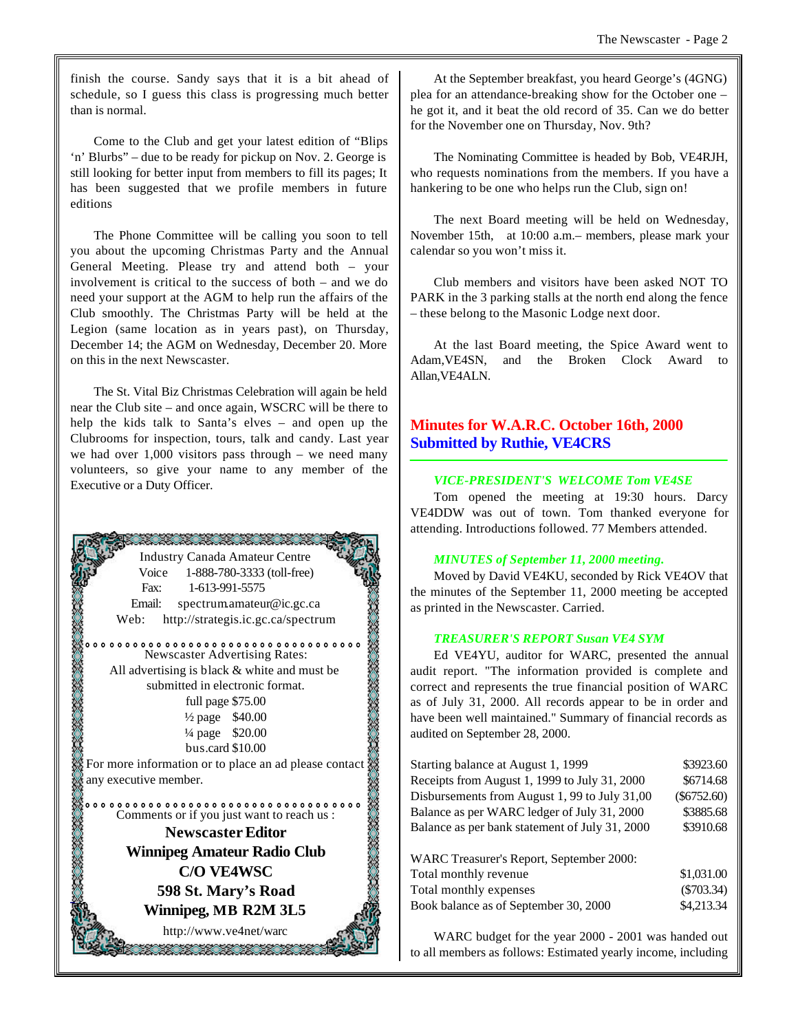finish the course. Sandy says that it is a bit ahead of schedule, so I guess this class is progressing much better than is normal.

Come to the Club and get your latest edition of "Blips 'n' Blurbs" – due to be ready for pickup on Nov. 2. George is still looking for better input from members to fill its pages; It has been suggested that we profile members in future editions

The Phone Committee will be calling you soon to tell you about the upcoming Christmas Party and the Annual General Meeting. Please try and attend both – your involvement is critical to the success of both – and we do need your support at the AGM to help run the affairs of the Club smoothly. The Christmas Party will be held at the Legion (same location as in years past), on Thursday, December 14; the AGM on Wednesday, December 20. More on this in the next Newscaster.

The St. Vital Biz Christmas Celebration will again be held near the Club site – and once again, WSCRC will be there to help the kids talk to Santa's elves – and open up the Clubrooms for inspection, tours, talk and candy. Last year we had over 1,000 visitors pass through – we need many volunteers, so give your name to any member of the Executive or a Duty Officer.



At the September breakfast, you heard George's (4GNG) plea for an attendance-breaking show for the October one – he got it, and it beat the old record of 35. Can we do better for the November one on Thursday, Nov. 9th?

The Nominating Committee is headed by Bob, VE4RJH, who requests nominations from the members. If you have a hankering to be one who helps run the Club, sign on!

The next Board meeting will be held on Wednesday, November 15th, at 10:00 a.m.– members, please mark your calendar so you won't miss it.

Club members and visitors have been asked NOT TO PARK in the 3 parking stalls at the north end along the fence – these belong to the Masonic Lodge next door.

At the last Board meeting, the Spice Award went to Adam,VE4SN, and the Broken Clock Award to Allan,VE4ALN.

# **Minutes for W.A.R.C. October 16th, 2000 Submitted by Ruthie, VE4CRS**

#### *VICE-PRESIDENT'S WELCOME Tom VE4SE*

Tom opened the meeting at 19:30 hours. Darcy VE4DDW was out of town. Tom thanked everyone for attending. Introductions followed. 77 Members attended.

#### *MINUTES of September 11, 2000 meeting.*

Moved by David VE4KU, seconded by Rick VE4OV that the minutes of the September 11, 2000 meeting be accepted as printed in the Newscaster. Carried.

#### *TREASURER'S REPORT Susan VE4 SYM*

Ed VE4YU, auditor for WARC, presented the annual audit report. "The information provided is complete and correct and represents the true financial position of WARC as of July 31, 2000. All records appear to be in order and have been well maintained." Summary of financial records as audited on September 28, 2000.

| Starting balance at August 1, 1999             | \$3923.60     |
|------------------------------------------------|---------------|
| Receipts from August 1, 1999 to July 31, 2000  | \$6714.68     |
| Disbursements from August 1, 99 to July 31,00  | $(\$6752.60)$ |
| Balance as per WARC ledger of July 31, 2000    | \$3885.68     |
| Balance as per bank statement of July 31, 2000 | \$3910.68     |
| WARC Treasurer's Report, September 2000:       |               |
| Total monthly revenue                          | \$1,031.00    |
| Total monthly expenses                         | $(\$703.34)$  |
| Book balance as of September 30, 2000          | \$4,213.34    |

WARC budget for the year 2000 - 2001 was handed out to all members as follows: Estimated yearly income, including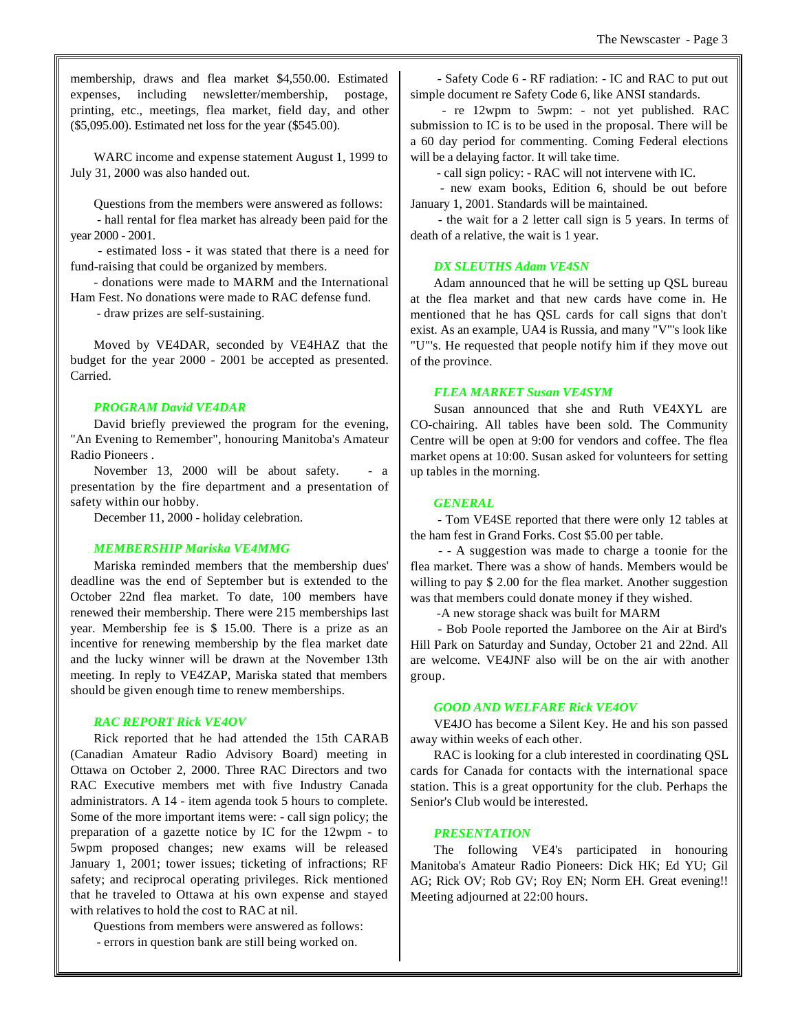membership, draws and flea market \$4,550.00. Estimated expenses, including newsletter/membership, postage, printing, etc., meetings, flea market, field day, and other (\$5,095.00). Estimated net loss for the year (\$545.00).

WARC income and expense statement August 1, 1999 to July 31, 2000 was also handed out.

Questions from the members were answered as follows:

 - hall rental for flea market has already been paid for the year 2000 - 2001.

 - estimated loss - it was stated that there is a need for fund-raising that could be organized by members.

- donations were made to MARM and the International Ham Fest. No donations were made to RAC defense fund.

- draw prizes are self-sustaining.

Moved by VE4DAR, seconded by VE4HAZ that the budget for the year 2000 - 2001 be accepted as presented. Carried.

#### *PROGRAM David VE4DAR*

David briefly previewed the program for the evening, "An Evening to Remember", honouring Manitoba's Amateur Radio Pioneers .

November 13, 2000 will be about safety. - a presentation by the fire department and a presentation of safety within our hobby.

December 11, 2000 - holiday celebration.

#### *MEMBERSHIP Mariska VE4MMG*

Mariska reminded members that the membership dues' deadline was the end of September but is extended to the October 22nd flea market. To date, 100 members have renewed their membership. There were 215 memberships last year. Membership fee is \$ 15.00. There is a prize as an incentive for renewing membership by the flea market date and the lucky winner will be drawn at the November 13th meeting. In reply to VE4ZAP, Mariska stated that members should be given enough time to renew memberships.

#### *RAC REPORT Rick VE4OV*

Rick reported that he had attended the 15th CARAB (Canadian Amateur Radio Advisory Board) meeting in Ottawa on October 2, 2000. Three RAC Directors and two RAC Executive members met with five Industry Canada administrators. A 14 - item agenda took 5 hours to complete. Some of the more important items were: - call sign policy; the preparation of a gazette notice by IC for the 12wpm - to 5wpm proposed changes; new exams will be released January 1, 2001; tower issues; ticketing of infractions; RF safety; and reciprocal operating privileges. Rick mentioned that he traveled to Ottawa at his own expense and stayed with relatives to hold the cost to RAC at nil.

Questions from members were answered as follows: - errors in question bank are still being worked on.

 - Safety Code 6 - RF radiation: - IC and RAC to put out simple document re Safety Code 6, like ANSI standards.

 - re 12wpm to 5wpm: - not yet published. RAC submission to IC is to be used in the proposal. There will be a 60 day period for commenting. Coming Federal elections will be a delaying factor. It will take time.

- call sign policy: - RAC will not intervene with IC.

 - new exam books, Edition 6, should be out before January 1, 2001. Standards will be maintained.

 - the wait for a 2 letter call sign is 5 years. In terms of death of a relative, the wait is 1 year.

#### *DX SLEUTHS Adam VE4SN*

Adam announced that he will be setting up QSL bureau at the flea market and that new cards have come in. He mentioned that he has QSL cards for call signs that don't exist. As an example, UA4 is Russia, and many "V"'s look like "U"'s. He requested that people notify him if they move out of the province.

#### *FLEA MARKET Susan VE4SYM*

Susan announced that she and Ruth VE4XYL are CO-chairing. All tables have been sold. The Community Centre will be open at 9:00 for vendors and coffee. The flea market opens at 10:00. Susan asked for volunteers for setting up tables in the morning.

#### *GENERAL*

 - Tom VE4SE reported that there were only 12 tables at the ham fest in Grand Forks. Cost \$5.00 per table.

 - - A suggestion was made to charge a toonie for the flea market. There was a show of hands. Members would be willing to pay \$ 2.00 for the flea market. Another suggestion was that members could donate money if they wished.

-A new storage shack was built for MARM

 - Bob Poole reported the Jamboree on the Air at Bird's Hill Park on Saturday and Sunday, October 21 and 22nd. All are welcome. VE4JNF also will be on the air with another group.

#### *GOOD AND WELFARE Rick VE4OV*

VE4JO has become a Silent Key. He and his son passed away within weeks of each other.

RAC is looking for a club interested in coordinating QSL cards for Canada for contacts with the international space station. This is a great opportunity for the club. Perhaps the Senior's Club would be interested.

#### *PRESENTATION*

The following VE4's participated in honouring Manitoba's Amateur Radio Pioneers: Dick HK; Ed YU; Gil AG; Rick OV; Rob GV; Roy EN; Norm EH. Great evening!! Meeting adjourned at 22:00 hours.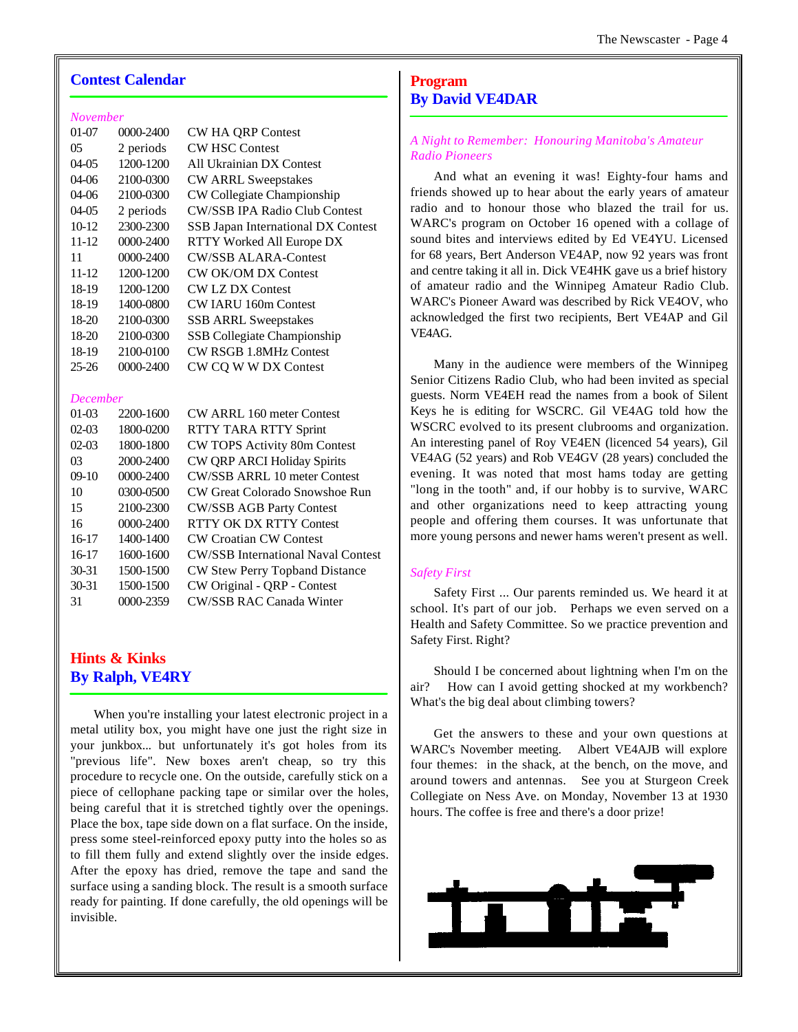#### **Contest Calendar**

#### *November*

| $01-07$   | 0000-2400     | <b>CW HA QRP Contest</b>             |
|-----------|---------------|--------------------------------------|
| 05        | 2 periods     | <b>CW HSC Contest</b>                |
| $04-05$   | 1200-1200     | All Ukrainian DX Contest             |
| $04-06$   | 2100-0300     | <b>CW ARRL Sweepstakes</b>           |
| $04-06$   | 2100-0300     | CW Collegiate Championship           |
| $04-05$   | 2 periods     | <b>CW/SSB IPA Radio Club Contest</b> |
| $10-12$   | 2300-2300     | SSB Japan International DX Contest   |
| 11-12     | $0000 - 2400$ | RTTY Worked All Europe DX            |
| 11        | $0000 - 2400$ | CW/SSB ALARA-Contest                 |
| 11-12     | 1200-1200     | <b>CW OK/OM DX Contest</b>           |
| 18-19     | 1200-1200     | <b>CW LZ DX Contest</b>              |
| 18-19     | 1400-0800     | CW JARU 160m Contest                 |
| 18-20     | 2100-0300     | <b>SSB ARRL Sweepstakes</b>          |
| $18-20$   | 2100-0300     | SSB Collegiate Championship          |
| 18-19     | 2100-0100     | <b>CW RSGB 1.8MHz Contest</b>        |
| $25 - 26$ | 0000-2400     | CW CQ W W DX Contest                 |

#### *December*

| $01-03$   | 2200-1600     | CW ARRL 160 meter Contest                 |
|-----------|---------------|-------------------------------------------|
| $02-03$   | 1800-0200     | RTTY TARA RTTY Sprint                     |
| $02-03$   | 1800-1800     | CW TOPS Activity 80m Contest              |
| 03        | 2000-2400     | <b>CW QRP ARCI Holiday Spirits</b>        |
| $09-10$   | $0000 - 2400$ | <b>CW/SSB ARRL 10 meter Contest</b>       |
| 10        | 0300-0500     | CW Great Colorado Snowshoe Run            |
| 15        | 2100-2300     | <b>CW/SSB AGB Party Contest</b>           |
| 16        | $0000 - 2400$ | RTTY OK DX RTTY Contest                   |
| $16-17$   | 1400-1400     | <b>CW Croatian CW Contest</b>             |
| $16-17$   | 1600-1600     | <b>CW/SSB International Naval Contest</b> |
| $30 - 31$ | 1500-1500     | CW Stew Perry Topband Distance            |
| $30 - 31$ | 1500-1500     | CW Original - QRP - Contest               |
| 31        | 0000-2359     | CW/SSB RAC Canada Winter                  |

## **Hints & Kinks By Ralph, VE4RY**

When you're installing your latest electronic project in a metal utility box, you might have one just the right size in your junkbox... but unfortunately it's got holes from its "previous life". New boxes aren't cheap, so try this procedure to recycle one. On the outside, carefully stick on a piece of cellophane packing tape or similar over the holes, being careful that it is stretched tightly over the openings. Place the box, tape side down on a flat surface. On the inside, press some steel-reinforced epoxy putty into the holes so as to fill them fully and extend slightly over the inside edges. After the epoxy has dried, remove the tape and sand the surface using a sanding block. The result is a smooth surface ready for painting. If done carefully, the old openings will be invisible.

# **Program By David VE4DAR**

#### *A Night to Remember: Honouring Manitoba's Amateur Radio Pioneers*

And what an evening it was! Eighty-four hams and friends showed up to hear about the early years of amateur radio and to honour those who blazed the trail for us. WARC's program on October 16 opened with a collage of sound bites and interviews edited by Ed VE4YU. Licensed for 68 years, Bert Anderson VE4AP, now 92 years was front and centre taking it all in. Dick VE4HK gave us a brief history of amateur radio and the Winnipeg Amateur Radio Club. WARC's Pioneer Award was described by Rick VE4OV, who acknowledged the first two recipients, Bert VE4AP and Gil VE4AG.

Many in the audience were members of the Winnipeg Senior Citizens Radio Club, who had been invited as special guests. Norm VE4EH read the names from a book of Silent Keys he is editing for WSCRC. Gil VE4AG told how the WSCRC evolved to its present clubrooms and organization. An interesting panel of Roy VE4EN (licenced 54 years), Gil VE4AG (52 years) and Rob VE4GV (28 years) concluded the evening. It was noted that most hams today are getting "long in the tooth" and, if our hobby is to survive, WARC and other organizations need to keep attracting young people and offering them courses. It was unfortunate that more young persons and newer hams weren't present as well.

#### *Safety First*

Safety First ... Our parents reminded us. We heard it at school. It's part of our job. Perhaps we even served on a Health and Safety Committee. So we practice prevention and Safety First. Right?

Should I be concerned about lightning when I'm on the air? How can I avoid getting shocked at my workbench? What's the big deal about climbing towers?

Get the answers to these and your own questions at WARC's November meeting. Albert VE4AJB will explore four themes: in the shack, at the bench, on the move, and around towers and antennas. See you at Sturgeon Creek Collegiate on Ness Ave. on Monday, November 13 at 1930 hours. The coffee is free and there's a door prize!

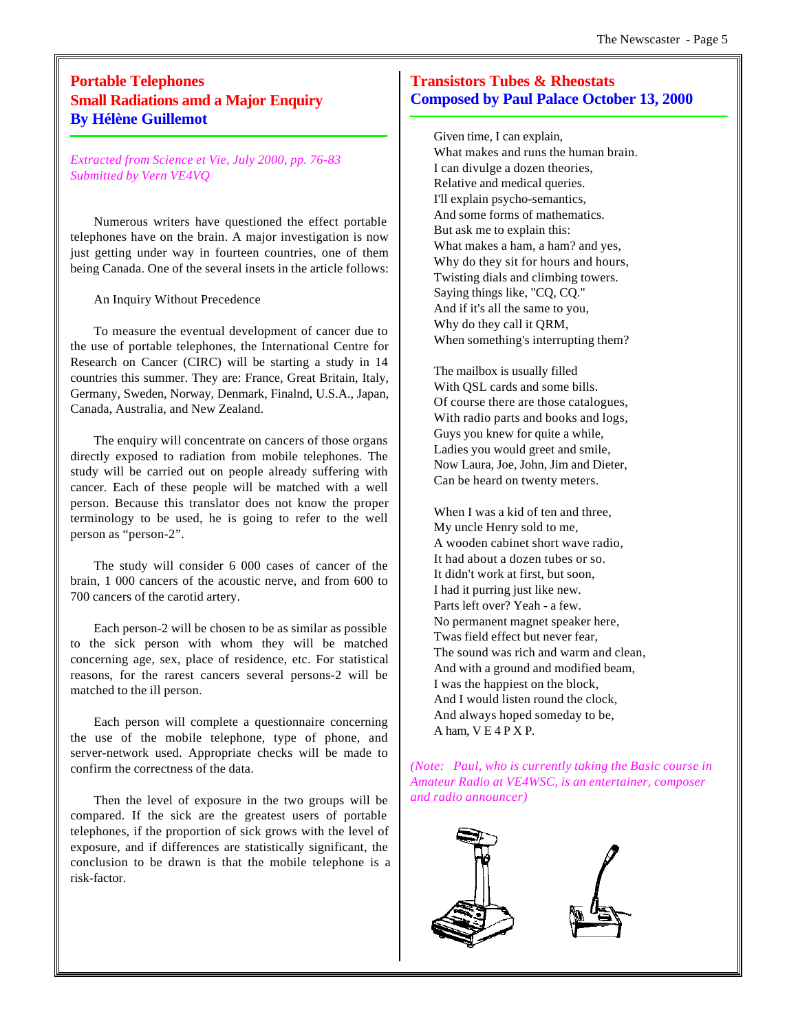# **Portable Telephones Small Radiations amd a Major Enquiry By Hélène Guillemot**

*Extracted from Science et Vie, July 2000, pp. 76-83 Submitted by Vern VE4VQ*

Numerous writers have questioned the effect portable telephones have on the brain. A major investigation is now just getting under way in fourteen countries, one of them being Canada. One of the several insets in the article follows:

An Inquiry Without Precedence

To measure the eventual development of cancer due to the use of portable telephones, the International Centre for Research on Cancer (CIRC) will be starting a study in 14 countries this summer. They are: France, Great Britain, Italy, Germany, Sweden, Norway, Denmark, Finalnd, U.S.A., Japan, Canada, Australia, and New Zealand.

The enquiry will concentrate on cancers of those organs directly exposed to radiation from mobile telephones. The study will be carried out on people already suffering with cancer. Each of these people will be matched with a well person. Because this translator does not know the proper terminology to be used, he is going to refer to the well person as "person-2".

The study will consider 6 000 cases of cancer of the brain, 1 000 cancers of the acoustic nerve, and from 600 to 700 cancers of the carotid artery.

Each person-2 will be chosen to be as similar as possible to the sick person with whom they will be matched concerning age, sex, place of residence, etc. For statistical reasons, for the rarest cancers several persons-2 will be matched to the ill person.

Each person will complete a questionnaire concerning the use of the mobile telephone, type of phone, and server-network used. Appropriate checks will be made to confirm the correctness of the data.

Then the level of exposure in the two groups will be compared. If the sick are the greatest users of portable telephones, if the proportion of sick grows with the level of exposure, and if differences are statistically significant, the conclusion to be drawn is that the mobile telephone is a risk-factor.

## **Transistors Tubes & Rheostats Composed by Paul Palace October 13, 2000**

Given time, I can explain, What makes and runs the human brain. I can divulge a dozen theories, Relative and medical queries. I'll explain psycho-semantics, And some forms of mathematics. But ask me to explain this: What makes a ham, a ham? and yes, Why do they sit for hours and hours, Twisting dials and climbing towers. Saying things like, "CQ, CQ." And if it's all the same to you, Why do they call it QRM, When something's interrupting them?

The mailbox is usually filled With QSL cards and some bills. Of course there are those catalogues, With radio parts and books and logs, Guys you knew for quite a while, Ladies you would greet and smile, Now Laura, Joe, John, Jim and Dieter, Can be heard on twenty meters.

When I was a kid of ten and three, My uncle Henry sold to me, A wooden cabinet short wave radio, It had about a dozen tubes or so. It didn't work at first, but soon, I had it purring just like new. Parts left over? Yeah - a few. No permanent magnet speaker here, Twas field effect but never fear, The sound was rich and warm and clean, And with a ground and modified beam, I was the happiest on the block, And I would listen round the clock, And always hoped someday to be, A ham, V E 4 P X P.

*(Note: Paul, who is currently taking the Basic course in Amateur Radio at VE4WSC, is an entertainer, composer and radio announcer)*

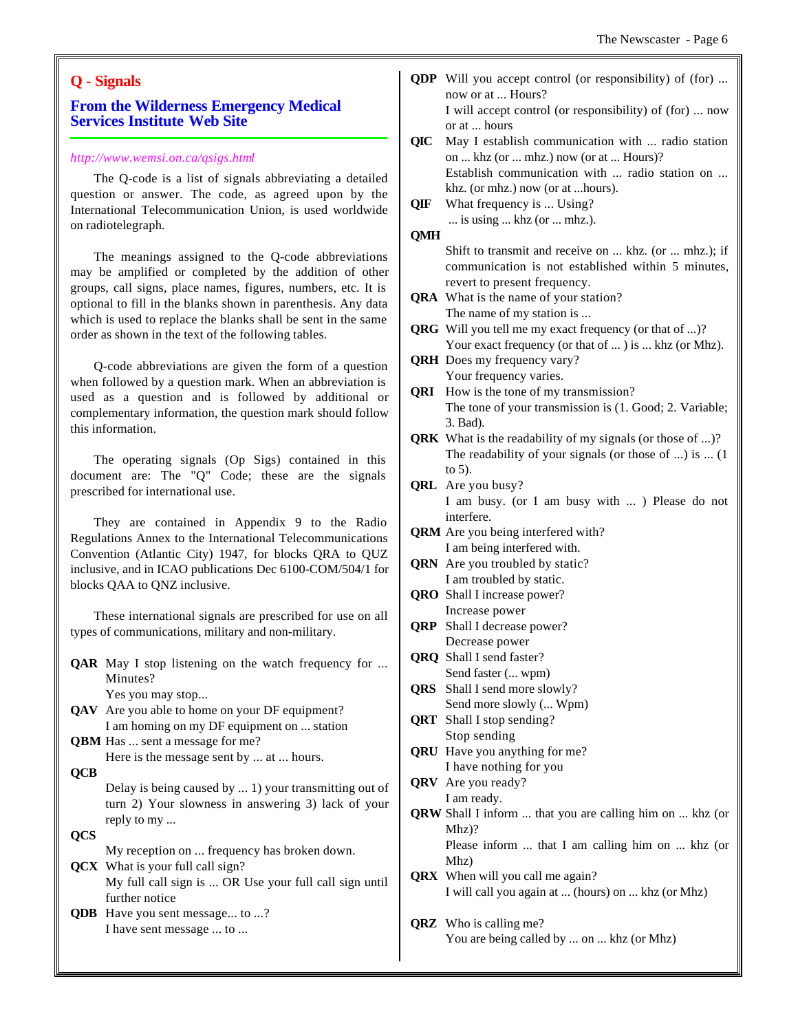### **Q - Signals**

#### **From the Wilderness Emergency Medical Services Institute Web Site**

#### *http://www.wemsi.on.ca/qsigs.html*

The Q-code is a list of signals abbreviating a detailed question or answer. The code, as agreed upon by the International Telecommunication Union, is used worldwide on radiotelegraph.

The meanings assigned to the Q-code abbreviations may be amplified or completed by the addition of other groups, call signs, place names, figures, numbers, etc. It is optional to fill in the blanks shown in parenthesis. Any data which is used to replace the blanks shall be sent in the same order as shown in the text of the following tables.

Q-code abbreviations are given the form of a question when followed by a question mark. When an abbreviation is used as a question and is followed by additional or complementary information, the question mark should follow this information.

The operating signals (Op Sigs) contained in this document are: The "Q" Code; these are the signals prescribed for international use.

They are contained in Appendix 9 to the Radio Regulations Annex to the International Telecommunications Convention (Atlantic City) 1947, for blocks QRA to QUZ inclusive, and in ICAO publications Dec 6100-COM/504/1 for blocks QAA to QNZ inclusive.

These international signals are prescribed for use on all types of communications, military and non-military.

**QAR** May I stop listening on the watch frequency for ... Minutes? Yes you may stop...

- **QAV** Are you able to home on your DF equipment? I am homing on my DF equipment on ... station **QBM** Has ... sent a message for me?
	- Here is the message sent by ... at ... hours.
- **QCB**

Delay is being caused by ... 1) your transmitting out of turn 2) Your slowness in answering 3) lack of your reply to my ...

**QCS**

My reception on ... frequency has broken down.

**QCX** What is your full call sign? My full call sign is ... OR Use your full call sign until further notice

**QDB** Have you sent message... to ...? I have sent message ... to ...

- **QDP** Will you accept control (or responsibility) of (for) ... now or at ... Hours? I will accept control (or responsibility) of (for) ... now or at ... hours
- **QIC** May I establish communication with ... radio station on ... khz (or ... mhz.) now (or at ... Hours)? Establish communication with ... radio station on ... khz. (or mhz.) now (or at ...hours).
- **QIF** What frequency is ... Using? ... is using ... khz (or ... mhz.).
- **QMH**

Shift to transmit and receive on ... khz. (or ... mhz.); if communication is not established within 5 minutes, revert to present frequency.

**QRA** What is the name of your station? The name of my station is ...

- **QRG** Will you tell me my exact frequency (or that of ...)? Your exact frequency (or that of ... ) is ... khz (or Mhz).
- **QRH** Does my frequency vary? Your frequency varies.
- **QRI** How is the tone of my transmission? The tone of your transmission is (1. Good; 2. Variable; 3. Bad).
- **QRK** What is the readability of my signals (or those of ...)? The readability of your signals (or those of ...) is ... (1 to 5).
- **QRL** Are you busy? I am busy. (or I am busy with ... ) Please do not interfere.
- **QRM** Are you being interfered with? I am being interfered with.
- **QRN** Are you troubled by static? I am troubled by static.
- **QRO** Shall I increase power? Increase power
- **QRP** Shall I decrease power? Decrease power
- **QRQ** Shall I send faster? Send faster (... wpm)
- **QRS** Shall I send more slowly? Send more slowly (... Wpm)
- **QRT** Shall I stop sending? Stop sending
- **QRU** Have you anything for me? I have nothing for you
- **QRV** Are you ready? I am ready.
- **QRW** Shall I inform ... that you are calling him on ... khz (or Mhz)? Please inform ... that I am calling him on ... khz (or Mhz)
- **QRX** When will you call me again? I will call you again at ... (hours) on ... khz (or Mhz)
- **QRZ** Who is calling me? You are being called by ... on ... khz (or Mhz)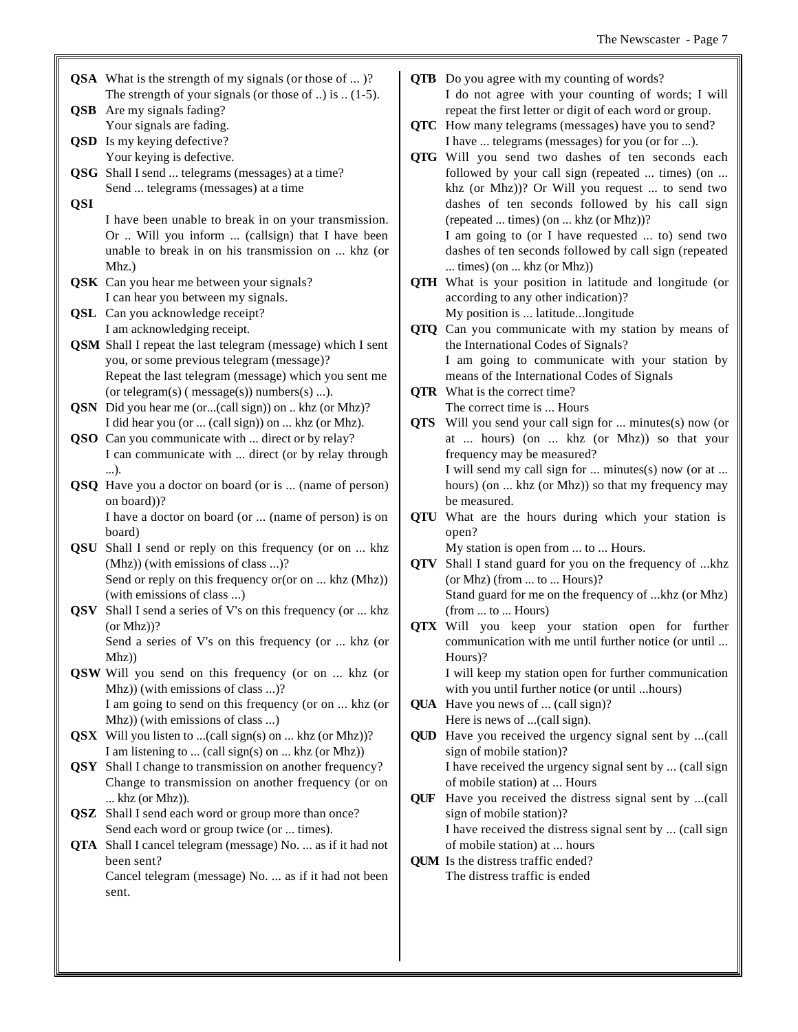- **QSA** What is the strength of my signals (or those of ... )? The strength of your signals (or those of ..) is  $(1-5)$ . **QSB** Are my signals fading?
- Your signals are fading. **QSD** Is my keying defective?
- Your keying is defective. **QSG** Shall I send ... telegrams (messages) at a time? Send ... telegrams (messages) at a time
- **QSI**

I have been unable to break in on your transmission. Or .. Will you inform ... (callsign) that I have been unable to break in on his transmission on ... khz (or Mhz.)

- **QSK** Can you hear me between your signals? I can hear you between my signals.
- **QSL** Can you acknowledge receipt? I am acknowledging receipt.
- **QSM** Shall I repeat the last telegram (message) which I sent you, or some previous telegram (message)? Repeat the last telegram (message) which you sent me (or telegram(s) ( message(s)) numbers(s) ...).
- **QSN** Did you hear me (or...(call sign)) on .. khz (or Mhz)? I did hear you (or ... (call sign)) on ... khz (or Mhz).
- **QSO** Can you communicate with ... direct or by relay? I can communicate with ... direct (or by relay through ...).
- **QSQ** Have you a doctor on board (or is ... (name of person) on board))?

I have a doctor on board (or ... (name of person) is on board)

- **QSU** Shall I send or reply on this frequency (or on ... khz (Mhz)) (with emissions of class ...)? Send or reply on this frequency or (or on ... khz (Mhz)) (with emissions of class ...)
- **QSV** Shall I send a series of V's on this frequency (or ... khz (or Mhz))? Send a series of V's on this frequency (or ... khz (or
- Mhz)) **QSW** Will you send on this frequency (or on ... khz (or Mhz)) (with emissions of class ...)? I am going to send on this frequency (or on ... khz (or Mhz)) (with emissions of class ...)
- **QSX** Will you listen to ...(call sign(s) on ... khz (or Mhz))? I am listening to ... (call sign(s) on ... khz (or Mhz))
- **QSY** Shall I change to transmission on another frequency? Change to transmission on another frequency (or on ... khz (or Mhz)).
- **QSZ** Shall I send each word or group more than once? Send each word or group twice (or ... times).
- **QTA** Shall I cancel telegram (message) No. ... as if it had not been sent? Cancel telegram (message) No. ... as if it had not been sent.
- **QTB** Do you agree with my counting of words? I do not agree with your counting of words; I will repeat the first letter or digit of each word or group.
- **QTC** How many telegrams (messages) have you to send? I have ... telegrams (messages) for you (or for ...).
- **QTG** Will you send two dashes of ten seconds each followed by your call sign (repeated ... times) (on ... khz (or Mhz))? Or Will you request ... to send two dashes of ten seconds followed by his call sign (repeated ... times) (on ... khz (or Mhz))? I am going to (or I have requested ... to) send two dashes of ten seconds followed by call sign (repeated ... times) (on ... khz (or Mhz))
- **QTH** What is your position in latitude and longitude (or according to any other indication)? My position is ... latitude...longitude
- **QTQ** Can you communicate with my station by means of the International Codes of Signals? I am going to communicate with your station by means of the International Codes of Signals
- **QTR** What is the correct time? The correct time is ... Hours
- **QTS** Will you send your call sign for ... minutes(s) now (or at ... hours) (on ... khz (or Mhz)) so that your frequency may be measured? I will send my call sign for ... minutes(s) now (or at ...

hours) (on ... khz (or Mhz)) so that my frequency may be measured.

**QTU** What are the hours during which your station is open?

My station is open from ... to ... Hours.

- **QTV** Shall I stand guard for you on the frequency of ...khz (or Mhz) (from ... to ... Hours)? Stand guard for me on the frequency of ...khz (or Mhz) (from ... to ... Hours)
- **QTX** Will you keep your station open for further communication with me until further notice (or until ... Hours)? I will keep my station open for further communication

with you until further notice (or until ...hours)

- **QUA** Have you news of ... (call sign)? Here is news of ...(call sign).
- **QUD** Have you received the urgency signal sent by ...(call sign of mobile station)?

I have received the urgency signal sent by ... (call sign of mobile station) at ... Hours

- **QUF** Have you received the distress signal sent by ...(call sign of mobile station)? I have received the distress signal sent by ... (call sign of mobile station) at ... hours
- **QUM** Is the distress traffic ended? The distress traffic is ended